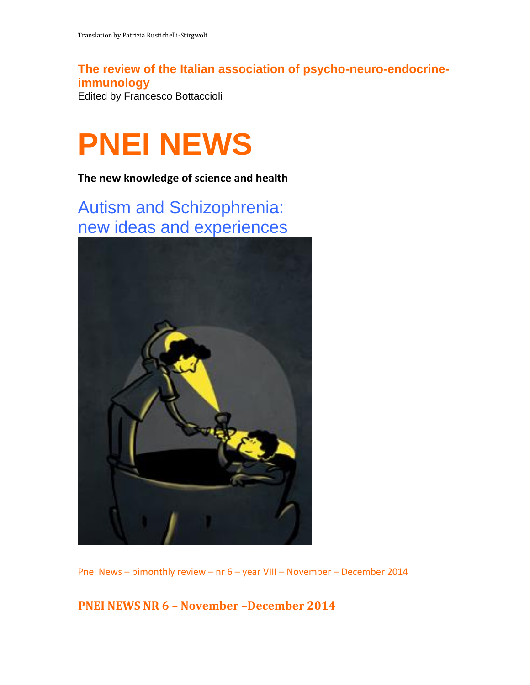**The review of the Italian association of psycho-neuro-endocrineimmunology** Edited by Francesco Bottaccioli

# **PNEI NEWS**

**The new knowledge of science and health**

Autism and Schizophrenia: new ideas and experiences



Pnei News – bimonthly review – nr 6 – year VIII – November – December 2014

**PNEI NEWS NR 6 – November –December 2014**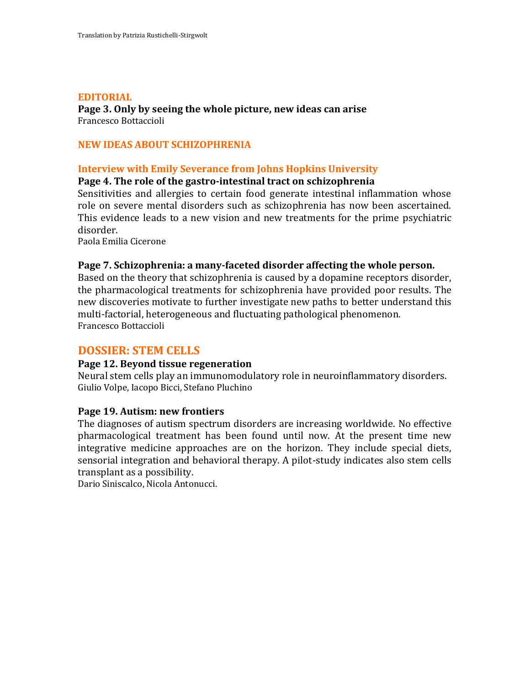#### **EDITORIAL**

**Page 3. Only by seeing the whole picture, new ideas can arise** Francesco Bottaccioli

# **NEW IDEAS ABOUT SCHIZOPHRENIA**

# **Interview with Emily Severance from Johns Hopkins University**

#### **Page 4. The role of the gastro-intestinal tract on schizophrenia**

Sensitivities and allergies to certain food generate intestinal inflammation whose role on severe mental disorders such as schizophrenia has now been ascertained. This evidence leads to a new vision and new treatments for the prime psychiatric disorder.

Paola Emilia Cicerone

#### **Page 7. Schizophrenia: a many-faceted disorder affecting the whole person.**

Based on the theory that schizophrenia is caused by a dopamine receptors disorder, the pharmacological treatments for schizophrenia have provided poor results. The new discoveries motivate to further investigate new paths to better understand this multi-factorial, heterogeneous and fluctuating pathological phenomenon. Francesco Bottaccioli

# **DOSSIER: STEM CELLS**

#### **Page 12. Beyond tissue regeneration**

Neural stem cells play an immunomodulatory role in neuroinflammatory disorders. Giulio Volpe, Iacopo Bicci, Stefano Pluchino

### **Page 19. Autism: new frontiers**

The diagnoses of autism spectrum disorders are increasing worldwide. No effective pharmacological treatment has been found until now. At the present time new integrative medicine approaches are on the horizon. They include special diets, sensorial integration and behavioral therapy. A pilot-study indicates also stem cells transplant as a possibility.

Dario Siniscalco, Nicola Antonucci.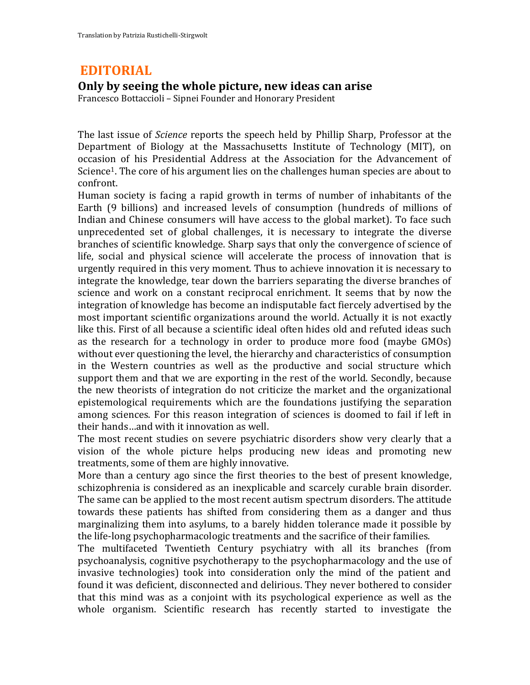# **EDITORIAL**

# **Only by seeing the whole picture, new ideas can arise**

Francesco Bottaccioli – Sipnei Founder and Honorary President

The last issue of *Science* reports the speech held by Phillip Sharp, Professor at the Department of Biology at the Massachusetts Institute of Technology (MIT), on occasion of his Presidential Address at the Association for the Advancement of Science1. The core of his argument lies on the challenges human species are about to confront.

Human society is facing a rapid growth in terms of number of inhabitants of the Earth (9 billions) and increased levels of consumption (hundreds of millions of Indian and Chinese consumers will have access to the global market). To face such unprecedented set of global challenges, it is necessary to integrate the diverse branches of scientific knowledge. Sharp says that only the convergence of science of life, social and physical science will accelerate the process of innovation that is urgently required in this very moment. Thus to achieve innovation it is necessary to integrate the knowledge, tear down the barriers separating the diverse branches of science and work on a constant reciprocal enrichment. It seems that by now the integration of knowledge has become an indisputable fact fiercely advertised by the most important scientific organizations around the world. Actually it is not exactly like this. First of all because a scientific ideal often hides old and refuted ideas such as the research for a technology in order to produce more food (maybe GMOs) without ever questioning the level, the hierarchy and characteristics of consumption in the Western countries as well as the productive and social structure which support them and that we are exporting in the rest of the world. Secondly, because the new theorists of integration do not criticize the market and the organizational epistemological requirements which are the foundations justifying the separation among sciences. For this reason integration of sciences is doomed to fail if left in their hands…and with it innovation as well.

The most recent studies on severe psychiatric disorders show very clearly that a vision of the whole picture helps producing new ideas and promoting new treatments, some of them are highly innovative.

More than a century ago since the first theories to the best of present knowledge, schizophrenia is considered as an inexplicable and scarcely curable brain disorder. The same can be applied to the most recent autism spectrum disorders. The attitude towards these patients has shifted from considering them as a danger and thus marginalizing them into asylums, to a barely hidden tolerance made it possible by the life-long psychopharmacologic treatments and the sacrifice of their families.

The multifaceted Twentieth Century psychiatry with all its branches (from psychoanalysis, cognitive psychotherapy to the psychopharmacology and the use of invasive technologies) took into consideration only the mind of the patient and found it was deficient, disconnected and delirious. They never bothered to consider that this mind was as a conjoint with its psychological experience as well as the whole organism. Scientific research has recently started to investigate the